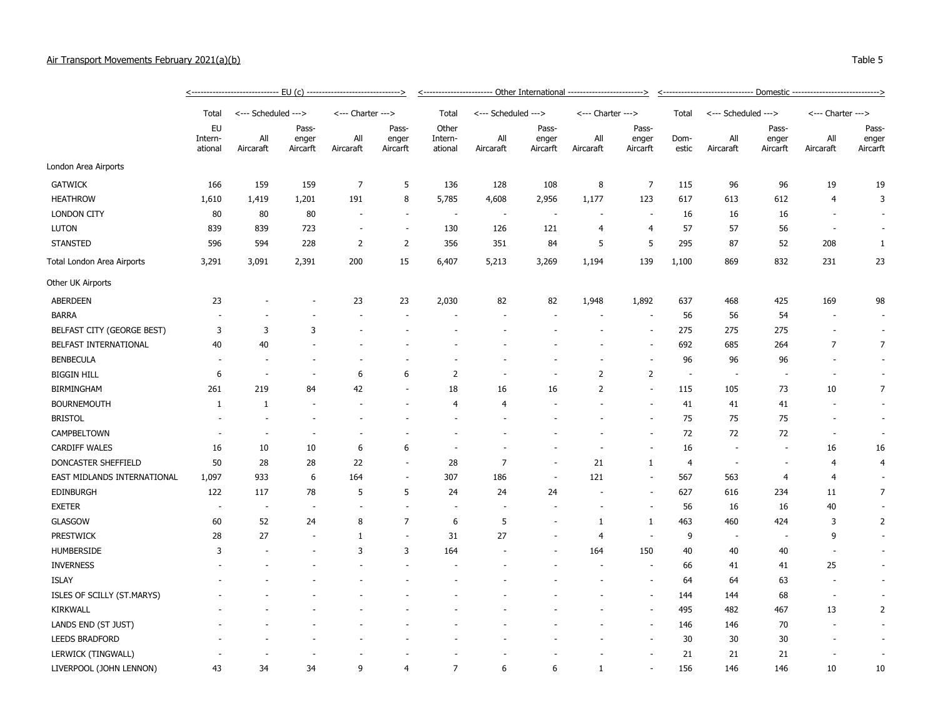## Air Transport Movements February 2021(a)(b) Table 5

|                             | Total                    | <--- Scheduled ---> |                            | <--- Charter --->        |                            | Total                       | <--- Scheduled ---> |                            | <--- Charter ---> |                            | Total                    | <--- Scheduled --->      |                            | <--- Charter --->        |                            |
|-----------------------------|--------------------------|---------------------|----------------------------|--------------------------|----------------------------|-----------------------------|---------------------|----------------------------|-------------------|----------------------------|--------------------------|--------------------------|----------------------------|--------------------------|----------------------------|
|                             | EU<br>Intern-<br>ational | All<br>Aircaraft    | Pass-<br>enger<br>Aircarft | All<br>Aircaraft         | Pass-<br>enger<br>Aircarft | Other<br>Intern-<br>ational | All<br>Aircaraft    | Pass-<br>enger<br>Aircarft | All<br>Aircaraft  | Pass-<br>enger<br>Aircarft | Dom-<br>estic            | All<br>Aircaraft         | Pass-<br>enger<br>Aircarft | All<br>Aircaraft         | Pass-<br>enger<br>Aircarft |
| London Area Airports        |                          |                     |                            |                          |                            |                             |                     |                            |                   |                            |                          |                          |                            |                          |                            |
| <b>GATWICK</b>              | 166                      | 159                 | 159                        | $\overline{7}$           | 5                          | 136                         | 128                 | 108                        | 8                 | $\overline{7}$             | 115                      | 96                       | 96                         | 19                       | 19                         |
| <b>HEATHROW</b>             | 1,610                    | 1,419               | 1,201                      | 191                      | 8                          | 5,785                       | 4,608               | 2,956                      | 1,177             | 123                        | 617                      | 613                      | 612                        | $\overline{4}$           | 3                          |
| <b>LONDON CITY</b>          | 80                       | 80                  | 80                         |                          | $\overline{\phantom{a}}$   |                             |                     |                            |                   |                            | 16                       | 16                       | 16                         |                          |                            |
| <b>LUTON</b>                | 839                      | 839                 | 723                        | $\overline{\phantom{a}}$ | $\sim$                     | 130                         | 126                 | 121                        | $\overline{4}$    | $\overline{4}$             | 57                       | 57                       | 56                         | $\overline{\phantom{a}}$ |                            |
| <b>STANSTED</b>             | 596                      | 594                 | 228                        | $\overline{2}$           | $\overline{2}$             | 356                         | 351                 | 84                         | 5                 | 5                          | 295                      | 87                       | 52                         | 208                      | $\mathbf{1}$               |
| Total London Area Airports  | 3,291                    | 3,091               | 2,391                      | 200                      | 15                         | 6,407                       | 5,213               | 3,269                      | 1,194             | 139                        | 1,100                    | 869                      | 832                        | 231                      | 23                         |
| Other UK Airports           |                          |                     |                            |                          |                            |                             |                     |                            |                   |                            |                          |                          |                            |                          |                            |
| <b>ABERDEEN</b>             | 23                       |                     |                            | 23                       | 23                         | 2,030                       | 82                  | 82                         | 1,948             | 1,892                      | 637                      | 468                      | 425                        | 169                      | 98                         |
| <b>BARRA</b>                |                          |                     |                            |                          |                            |                             |                     |                            |                   |                            | 56                       | 56                       | 54                         |                          |                            |
| BELFAST CITY (GEORGE BEST)  | 3                        | $\overline{3}$      | 3                          |                          |                            |                             |                     |                            |                   |                            | 275                      | 275                      | 275                        | $\overline{\phantom{a}}$ |                            |
| BELFAST INTERNATIONAL       | 40                       | 40                  |                            |                          |                            |                             |                     |                            |                   | $\sim$                     | 692                      | 685                      | 264                        | $\overline{7}$           | $\overline{7}$             |
| <b>BENBECULA</b>            | $\overline{\phantom{a}}$ |                     |                            |                          |                            |                             |                     |                            |                   |                            | 96                       | 96                       | 96                         | $\overline{\phantom{a}}$ |                            |
| <b>BIGGIN HILL</b>          | 6                        | $\overline{a}$      |                            | 6                        | 6                          | $\overline{2}$              |                     |                            | $\overline{2}$    | $\overline{2}$             | $\overline{\phantom{a}}$ | $\overline{\phantom{a}}$ |                            | $\overline{\phantom{a}}$ |                            |
| <b>BIRMINGHAM</b>           | 261                      | 219                 | 84                         | 42                       | ٠                          | 18                          | 16                  | 16                         | $\overline{2}$    | $\overline{\phantom{a}}$   | 115                      | 105                      | 73                         | 10                       | 7                          |
| <b>BOURNEMOUTH</b>          | 1                        | $\mathbf{1}$        |                            |                          |                            | 4                           | $\overline{4}$      |                            |                   | $\overline{\phantom{a}}$   | 41                       | 41                       | 41                         | $\overline{\phantom{a}}$ |                            |
| <b>BRISTOL</b>              |                          |                     |                            |                          |                            |                             |                     |                            |                   | $\sim$                     | 75                       | 75                       | 75                         |                          |                            |
| CAMPBELTOWN                 |                          |                     |                            |                          |                            |                             |                     |                            |                   |                            | 72                       | 72                       | 72                         | $\sim$                   |                            |
| <b>CARDIFF WALES</b>        | 16                       | 10                  | 10                         | 6                        | 6                          |                             |                     |                            |                   | $\sim$                     | 16                       |                          | ۰.                         | 16                       | 16                         |
| DONCASTER SHEFFIELD         | 50                       | 28                  | 28                         | 22                       | $\overline{\phantom{a}}$   | 28                          | $\overline{7}$      | $\overline{\phantom{a}}$   | 21                | $\mathbf{1}$               | $\overline{4}$           | $\overline{\phantom{a}}$ | $\overline{a}$             | 4                        | 4                          |
| EAST MIDLANDS INTERNATIONAL | 1,097                    | 933                 | 6                          | 164                      | ٠                          | 307                         | 186                 | $\overline{\phantom{a}}$   | 121               | $\overline{\phantom{a}}$   | 567                      | 563                      | 4                          | 4                        |                            |
| <b>EDINBURGH</b>            | 122                      | 117                 | 78                         | 5                        | 5                          | 24                          | 24                  | 24                         |                   | $\overline{\phantom{a}}$   | 627                      | 616                      | 234                        | 11                       | 7                          |
| <b>EXETER</b>               | $\overline{\phantom{a}}$ | $\sim$              | $\overline{\phantom{a}}$   | $\overline{\phantom{a}}$ | $\sim$                     | $\overline{\phantom{a}}$    |                     | $\overline{a}$             |                   | $\sim$                     | 56                       | 16                       | 16                         | 40                       |                            |
| GLASGOW                     | 60                       | 52                  | 24                         | 8                        | $\overline{7}$             | 6                           | 5                   | ä,                         | $\mathbf{1}$      | $\mathbf{1}$               | 463                      | 460                      | 424                        | 3                        | $\overline{2}$             |
| <b>PRESTWICK</b>            | 28                       | 27                  |                            | $\mathbf{1}$             | $\overline{\phantom{a}}$   | 31                          | 27                  |                            | $\overline{4}$    | $\sim$                     | 9                        | $\overline{\phantom{a}}$ |                            | 9                        |                            |
| HUMBERSIDE                  | 3                        |                     |                            | 3                        | 3                          | 164                         |                     |                            | 164               | 150                        | 40                       | 40                       | 40                         | $\bar{a}$                |                            |
| <b>INVERNESS</b>            |                          |                     |                            |                          | ÷                          |                             |                     |                            |                   | $\overline{a}$             | 66                       | 41                       | 41                         | 25                       |                            |
| <b>ISLAY</b>                |                          |                     |                            |                          |                            |                             |                     |                            |                   | $\overline{\phantom{a}}$   | 64                       | 64                       | 63                         | $\overline{\phantom{a}}$ |                            |
| ISLES OF SCILLY (ST.MARYS)  |                          |                     |                            |                          |                            |                             |                     |                            |                   | $\overline{\phantom{a}}$   | 144                      | 144                      | 68                         | $\overline{\phantom{a}}$ |                            |
| <b>KIRKWALL</b>             |                          |                     |                            |                          |                            |                             |                     |                            |                   |                            | 495                      | 482                      | 467                        | 13                       | 2                          |
| LANDS END (ST JUST)         |                          |                     |                            |                          |                            |                             |                     |                            |                   | $\sim$                     | 146                      | 146                      | 70                         | $\overline{\phantom{a}}$ |                            |
| <b>LEEDS BRADFORD</b>       |                          |                     |                            |                          |                            |                             |                     |                            |                   |                            | 30                       | 30                       | 30                         |                          |                            |
| LERWICK (TINGWALL)          |                          |                     |                            |                          |                            |                             |                     |                            |                   |                            | 21                       | 21                       | 21                         |                          |                            |
| LIVERPOOL (JOHN LENNON)     | 43                       | 34                  | 34                         | 9                        | $\overline{4}$             | $\overline{7}$              | 6                   | 6                          | 1                 |                            | 156                      | 146                      | 146                        | 10                       | 10                         |